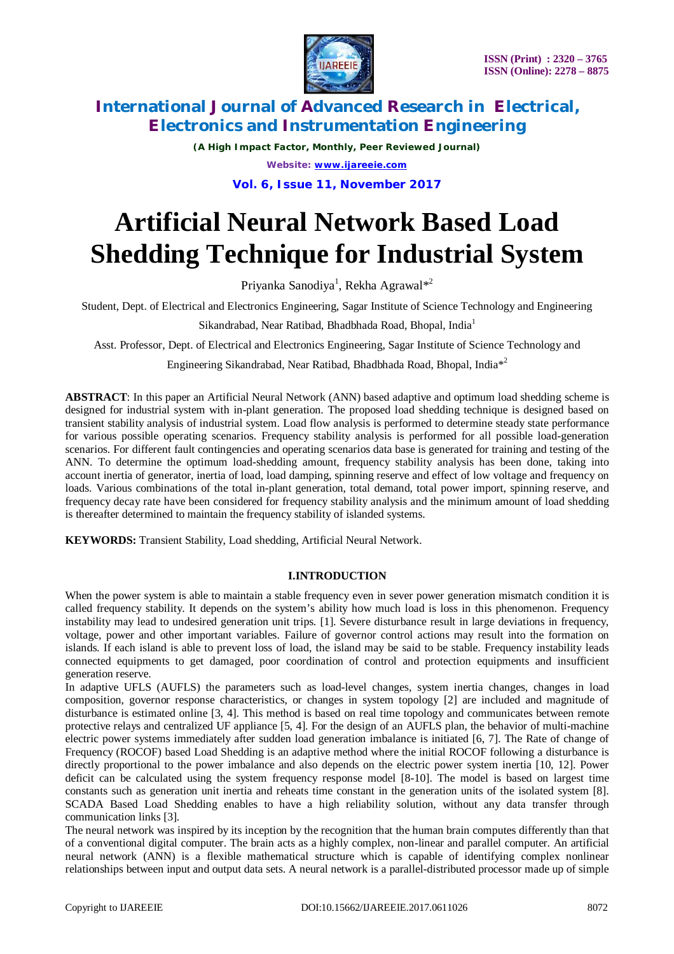

*(A High Impact Factor, Monthly, Peer Reviewed Journal) Website: [www.ijareeie.com](http://www.ijareeie.com)*

**Vol. 6, Issue 11, November 2017**

# **Artificial Neural Network Based Load Shedding Technique for Industrial System**

Priyanka Sanodiya<sup>1</sup>, Rekha Agrawal<sup>\*2</sup>

Student, Dept. of Electrical and Electronics Engineering, Sagar Institute of Science Technology and Engineering

Sikandrabad, Near Ratibad, Bhadbhada Road, Bhopal, India<sup>1</sup>

Asst. Professor, Dept. of Electrical and Electronics Engineering, Sagar Institute of Science Technology and

Engineering Sikandrabad, Near Ratibad, Bhadbhada Road, Bhopal, India<sup>\*2</sup>

**ABSTRACT**: In this paper an Artificial Neural Network (ANN) based adaptive and optimum load shedding scheme is designed for industrial system with in-plant generation. The proposed load shedding technique is designed based on transient stability analysis of industrial system. Load flow analysis is performed to determine steady state performance for various possible operating scenarios. Frequency stability analysis is performed for all possible load-generation scenarios. For different fault contingencies and operating scenarios data base is generated for training and testing of the ANN. To determine the optimum load-shedding amount, frequency stability analysis has been done, taking into account inertia of generator, inertia of load, load damping, spinning reserve and effect of low voltage and frequency on loads. Various combinations of the total in-plant generation, total demand, total power import, spinning reserve, and frequency decay rate have been considered for frequency stability analysis and the minimum amount of load shedding is thereafter determined to maintain the frequency stability of islanded systems.

**KEYWORDS:** Transient Stability, Load shedding, Artificial Neural Network.

### **I.INTRODUCTION**

When the power system is able to maintain a stable frequency even in sever power generation mismatch condition it is called frequency stability. It depends on the system's ability how much load is loss in this phenomenon. Frequency instability may lead to undesired generation unit trips. [1]. Severe disturbance result in large deviations in frequency, voltage, power and other important variables. Failure of governor control actions may result into the formation on islands. If each island is able to prevent loss of load, the island may be said to be stable. Frequency instability leads connected equipments to get damaged, poor coordination of control and protection equipments and insufficient generation reserve.

In adaptive UFLS (AUFLS) the parameters such as load-level changes, system inertia changes, changes in load composition, governor response characteristics, or changes in system topology [2] are included and magnitude of disturbance is estimated online [3, 4]. This method is based on real time topology and communicates between remote protective relays and centralized UF appliance [5, 4]. For the design of an AUFLS plan, the behavior of multi-machine electric power systems immediately after sudden load generation imbalance is initiated [6, 7]. The Rate of change of Frequency (ROCOF) based Load Shedding is an adaptive method where the initial ROCOF following a disturbance is directly proportional to the power imbalance and also depends on the electric power system inertia [10, 12]. Power deficit can be calculated using the system frequency response model [8-10]. The model is based on largest time constants such as generation unit inertia and reheats time constant in the generation units of the isolated system [8]. SCADA Based Load Shedding enables to have a high reliability solution, without any data transfer through communication links [3].

The neural network was inspired by its inception by the recognition that the human brain computes differently than that of a conventional digital computer. The brain acts as a highly complex, non-linear and parallel computer. An artificial neural network (ANN) is a flexible mathematical structure which is capable of identifying complex nonlinear relationships between input and output data sets. A neural network is a parallel-distributed processor made up of simple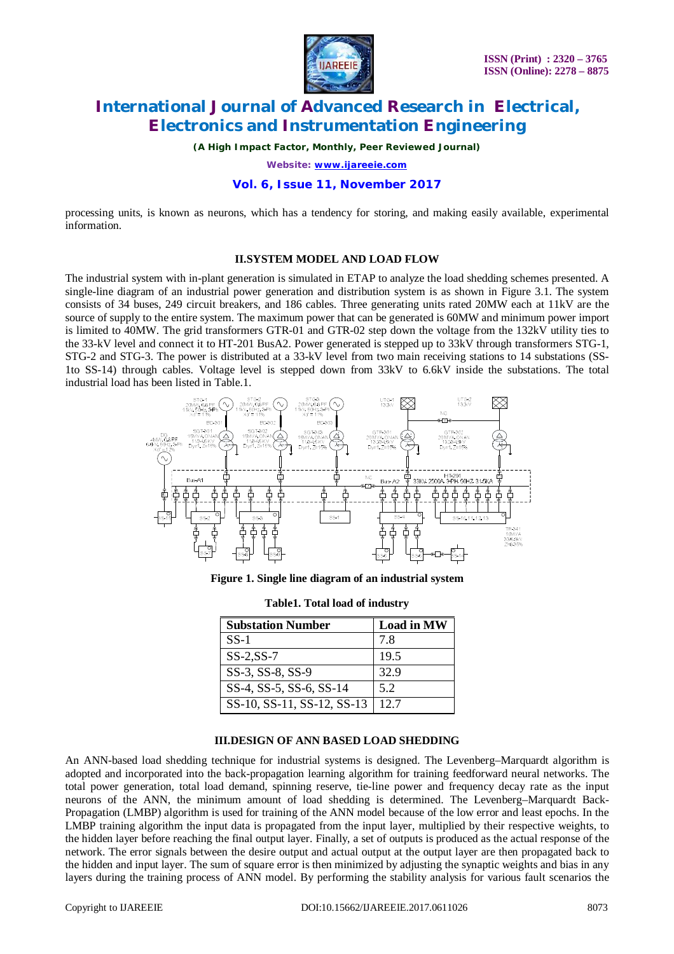

*(A High Impact Factor, Monthly, Peer Reviewed Journal)*

*Website: [www.ijareeie.com](http://www.ijareeie.com)*

#### **Vol. 6, Issue 11, November 2017**

processing units, is known as neurons, which has a tendency for storing, and making easily available, experimental information.

#### **II.SYSTEM MODEL AND LOAD FLOW**

The industrial system with in-plant generation is simulated in ETAP to analyze the load shedding schemes presented. A single-line diagram of an industrial power generation and distribution system is as shown in Figure 3.1. The system consists of 34 buses, 249 circuit breakers, and 186 cables. Three generating units rated 20MW each at 11kV are the source of supply to the entire system. The maximum power that can be generated is 60MW and minimum power import is limited to 40MW. The grid transformers GTR-01 and GTR-02 step down the voltage from the 132kV utility ties to the 33-kV level and connect it to HT-201 BusA2. Power generated is stepped up to 33kV through transformers STG-1, STG-2 and STG-3. The power is distributed at a 33-kV level from two main receiving stations to 14 substations (SS-1to SS-14) through cables. Voltage level is stepped down from 33kV to 6.6kV inside the substations. The total industrial load has been listed in Table.1.



**Figure 1. Single line diagram of an industrial system**

| <b>Substation Number</b>   | <b>Load in MW</b> |
|----------------------------|-------------------|
| $SS-1$                     | 7 8               |
| $SS-2, SS-7$               | 19.5              |
| SS-3, SS-8, SS-9           | 32.9              |
| SS-4, SS-5, SS-6, SS-14    | 52                |
| SS-10, SS-11, SS-12, SS-13 | 12.7              |

**Table1. Total load of industry**

### **III.DESIGN OF ANN BASED LOAD SHEDDING**

An ANN-based load shedding technique for industrial systems is designed. The Levenberg–Marquardt algorithm is adopted and incorporated into the back-propagation learning algorithm for training feedforward neural networks. The total power generation, total load demand, spinning reserve, tie-line power and frequency decay rate as the input neurons of the ANN, the minimum amount of load shedding is determined. The Levenberg–Marquardt Back-Propagation (LMBP) algorithm is used for training of the ANN model because of the low error and least epochs. In the LMBP training algorithm the input data is propagated from the input layer, multiplied by their respective weights, to the hidden layer before reaching the final output layer. Finally, a set of outputs is produced as the actual response of the network. The error signals between the desire output and actual output at the output layer are then propagated back to the hidden and input layer. The sum of square error is then minimized by adjusting the synaptic weights and bias in any layers during the training process of ANN model. By performing the stability analysis for various fault scenarios the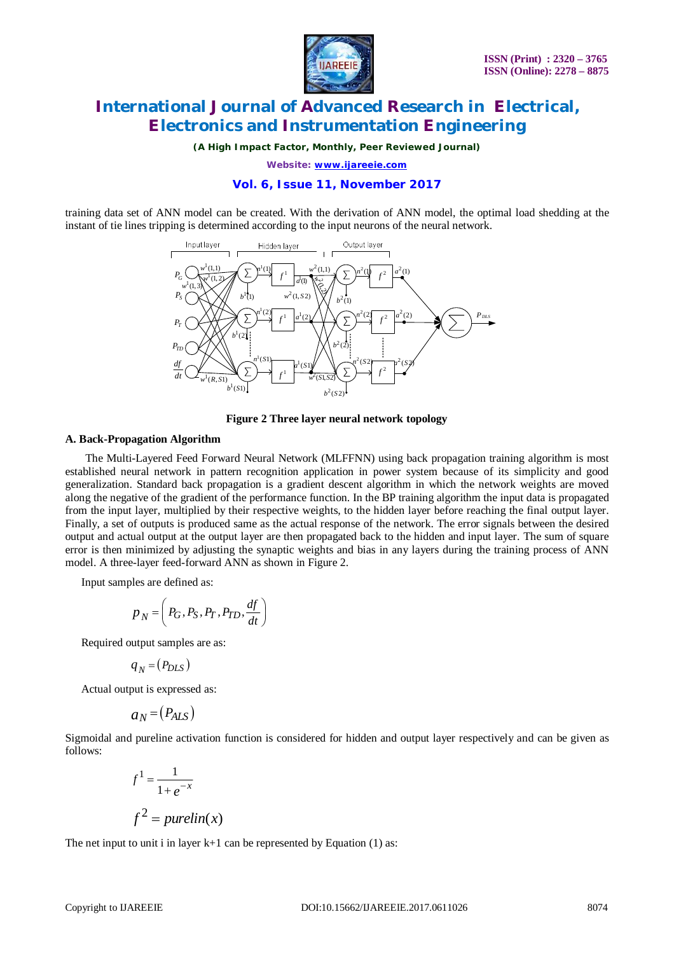

*(A High Impact Factor, Monthly, Peer Reviewed Journal)*

*Website: [www.ijareeie.com](http://www.ijareeie.com)*

#### **Vol. 6, Issue 11, November 2017**

training data set of ANN model can be created. With the derivation of ANN model, the optimal load shedding at the instant of tie lines tripping is determined according to the input neurons of the neural network.



**Figure 2 Three layer neural network topology**

#### **A. Back-Propagation Algorithm**

The Multi-Layered Feed Forward Neural Network (MLFFNN) using back propagation training algorithm is most established neural network in pattern recognition application in power system because of its simplicity and good generalization. Standard back propagation is a gradient descent algorithm in which the network weights are moved along the negative of the gradient of the performance function. In the BP training algorithm the input data is propagated from the input layer, multiplied by their respective weights, to the hidden layer before reaching the final output layer. Finally, a set of outputs is produced same as the actual response of the network. The error signals between the desired output and actual output at the output layer are then propagated back to the hidden and input layer. The sum of square error is then minimized by adjusting the synaptic weights and bias in any layers during the training process of ANN model. A three-layer feed-forward ANN as shown in Figure 2.

Input samples are defined as:

$$
p_N = \left(P_G, P_S, P_T, P_{TD}, \frac{df}{dt}\right)
$$

Required output samples are as:

$$
q_N = (P_{DLS})
$$

Actual output is expressed as:

$$
a_N = (P_{ALS})
$$

Sigmoidal and pureline activation function is considered for hidden and output layer respectively and can be given as follows:

$$
f1 = \frac{1}{1 + e^{-x}}
$$
  

$$
f2 = purelin(x)
$$

The net input to unit i in layer  $k+1$  can be represented by Equation (1) as: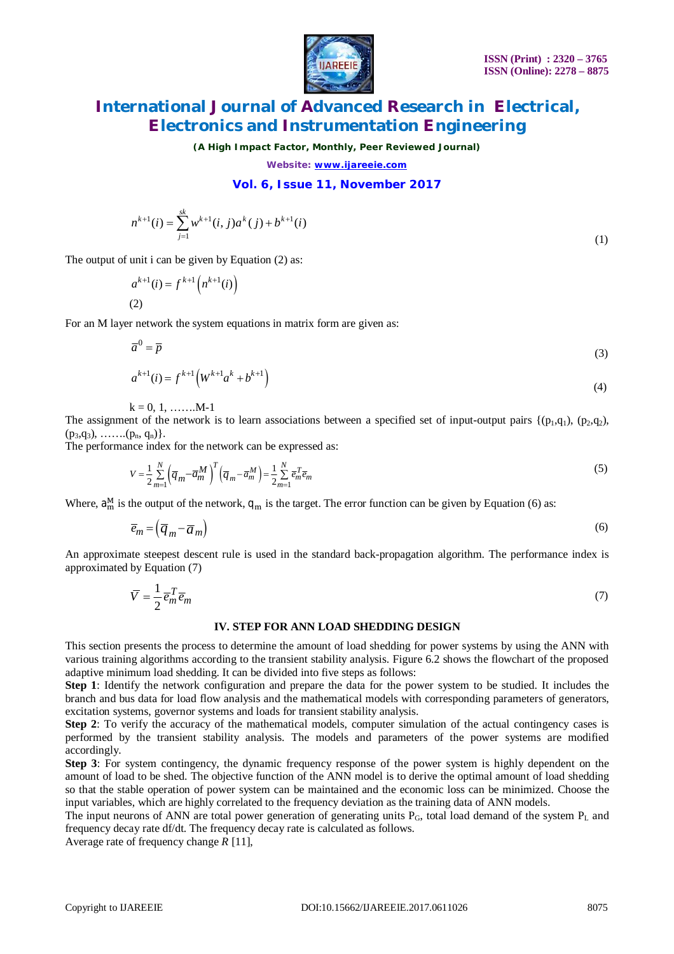

*(A High Impact Factor, Monthly, Peer Reviewed Journal)*

*Website: [www.ijareeie.com](http://www.ijareeie.com)*

### **Vol. 6, Issue 11, November 2017**

$$
n^{k+1}(i) = \sum_{j=1}^{sk} w^{k+1}(i, j)a^{k}(j) + b^{k+1}(i)
$$
\n(1)

The output of unit i can be given by Equation (2) as:

$$
a^{k+1}(i) = f^{k+1}(n^{k+1}(i))
$$
  
(2)

For an M layer network the system equations in matrix form are given as:

$$
\overline{a}^0 = \overline{p} \tag{3}
$$

$$
a^{k+1}(i) = f^{k+1} \left( W^{k+1} a^k + b^{k+1} \right) \tag{4}
$$

 $k = 0, 1, \ldots, M-1$ 

The assignment of the network is to learn associations between a specified set of input-output pairs  $\{(p_1,q_1), (p_2,q_2),$  $(p_3, q_3), \ldots, (p_n, q_n)$ .

The performance index for the network can be expressed as:

$$
V = \frac{1}{2} \sum_{m=1}^{N} \left( \overline{q}_{m} - \overline{a}_{m}^{M} \right)^{T} \left( \overline{q}_{m} - \overline{a}_{m}^{M} \right) = \frac{1}{2} \sum_{m=1}^{N} \overline{e}_{m}^{T} \overline{e}_{m}
$$
(5)

Where,  $a_m^M$  is the output of the network,  $q_m$  is the target. The error function can be given by Equation (6) as:

$$
\overline{e}_m = (\overline{q}_m - \overline{a}_m) \tag{6}
$$

An approximate steepest descent rule is used in the standard back-propagation algorithm. The performance index is approximated by Equation (7)

$$
\overline{V} = \frac{1}{2} \overline{e}_m^T \overline{e}_m \tag{7}
$$

#### **IV. STEP FOR ANN LOAD SHEDDING DESIGN**

This section presents the process to determine the amount of load shedding for power systems by using the ANN with various training algorithms according to the transient stability analysis. Figure 6.2 shows the flowchart of the proposed adaptive minimum load shedding. It can be divided into five steps as follows:

**Step 1**: Identify the network configuration and prepare the data for the power system to be studied. It includes the branch and bus data for load flow analysis and the mathematical models with corresponding parameters of generators, excitation systems, governor systems and loads for transient stability analysis.

**Step 2**: To verify the accuracy of the mathematical models, computer simulation of the actual contingency cases is performed by the transient stability analysis. The models and parameters of the power systems are modified accordingly.

**Step 3**: For system contingency, the dynamic frequency response of the power system is highly dependent on the amount of load to be shed. The objective function of the ANN model is to derive the optimal amount of load shedding so that the stable operation of power system can be maintained and the economic loss can be minimized. Choose the input variables, which are highly correlated to the frequency deviation as the training data of ANN models.

The input neurons of ANN are total power generation of generating units  $P_G$ , total load demand of the system  $P_L$  and frequency decay rate df/dt. The frequency decay rate is calculated as follows.

Average rate of frequency change *R* [11],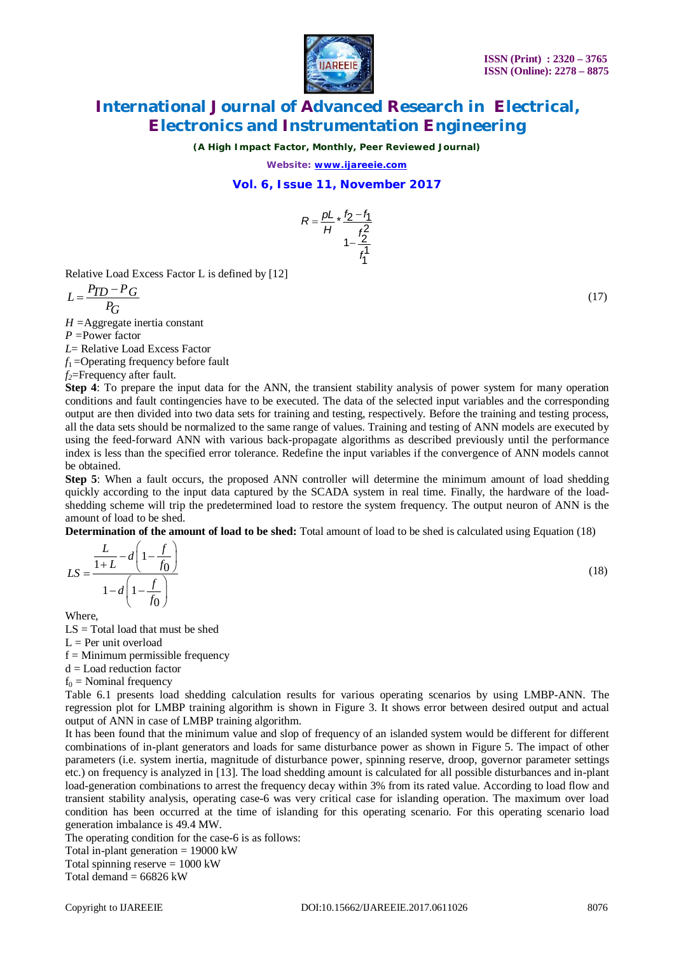

*(A High Impact Factor, Monthly, Peer Reviewed Journal)*

*Website: [www.ijareeie.com](http://www.ijareeie.com)*

### **Vol. 6, Issue 11, November 2017**



Relative Load Excess Factor L is defined by [12]

$$
L = \frac{P_{TD} - P_G}{P_G}
$$

*H =*Aggregate inertia constant

*P =*Power factor

*L*= Relative Load Excess Factor

*f*1 =Operating frequency before fault

*f2*=Frequency after fault.

**Step 4**: To prepare the input data for the ANN, the transient stability analysis of power system for many operation conditions and fault contingencies have to be executed. The data of the selected input variables and the corresponding output are then divided into two data sets for training and testing, respectively. Before the training and testing process, all the data sets should be normalized to the same range of values. Training and testing of ANN models are executed by using the feed-forward ANN with various back-propagate algorithms as described previously until the performance index is less than the specified error tolerance. Redefine the input variables if the convergence of ANN models cannot be obtained.

**Step 5**: When a fault occurs, the proposed ANN controller will determine the minimum amount of load shedding quickly according to the input data captured by the SCADA system in real time. Finally, the hardware of the loadshedding scheme will trip the predetermined load to restore the system frequency. The output neuron of ANN is the amount of load to be shed.

 $(18)$ 

**Determination of the amount of load to be shed:** Total amount of load to be shed is calculated using Equation (18)

$$
LS = \frac{\frac{L}{1+L} - d\left(1 - \frac{f}{f_0}\right)}{1 - d\left(1 - \frac{f}{f_0}\right)}
$$

Where,

 $LS = Total load that must be shed$ 

 $L = Per$  unit overload

 $f =$ Minimum permissible frequency

d = Load reduction factor

 $f_0$  = Nominal frequency

Table 6.1 presents load shedding calculation results for various operating scenarios by using LMBP-ANN. The regression plot for LMBP training algorithm is shown in Figure 3. It shows error between desired output and actual output of ANN in case of LMBP training algorithm.

It has been found that the minimum value and slop of frequency of an islanded system would be different for different combinations of in-plant generators and loads for same disturbance power as shown in Figure 5. The impact of other parameters (i.e. system inertia, magnitude of disturbance power, spinning reserve, droop, governor parameter settings etc.) on frequency is analyzed in [13]. The load shedding amount is calculated for all possible disturbances and in-plant load-generation combinations to arrest the frequency decay within 3% from its rated value. According to load flow and transient stability analysis, operating case-6 was very critical case for islanding operation. The maximum over load condition has been occurred at the time of islanding for this operating scenario. For this operating scenario load generation imbalance is 49.4 MW.

The operating condition for the case-6 is as follows:

Total in-plant generation  $= 19000 \text{ kW}$ 

Total spinning reserve  $= 1000$  kW

Total demand  $= 66826$  kW

 $(17)$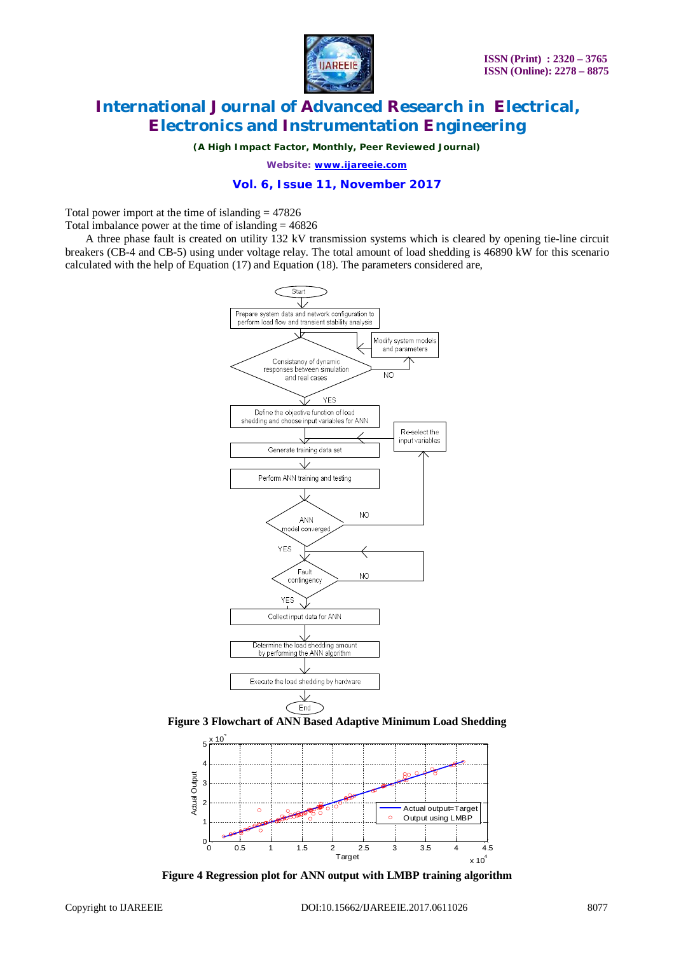

*(A High Impact Factor, Monthly, Peer Reviewed Journal)*

*Website: [www.ijareeie.com](http://www.ijareeie.com)*

### **Vol. 6, Issue 11, November 2017**

Total power import at the time of islanding  $= 47826$ 

Total imbalance power at the time of islanding  $= 46826$ 

A three phase fault is created on utility 132 kV transmission systems which is cleared by opening tie-line circuit breakers (CB-4 and CB-5) using under voltage relay. The total amount of load shedding is 46890 kW for this scenario calculated with the help of Equation (17) and Equation (18). The parameters considered are,



**Figure 3 Flowchart of ANN Based Adaptive Minimum Load Shedding**



**Figure 4 Regression plot for ANN output with LMBP training algorithm**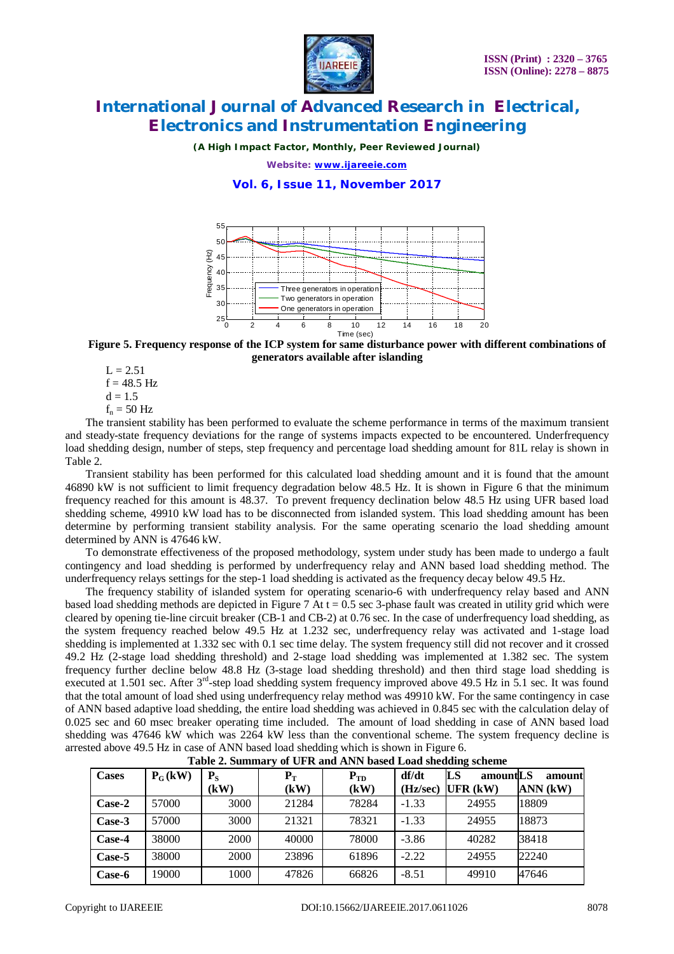

*(A High Impact Factor, Monthly, Peer Reviewed Journal)*

*Website: [www.ijareeie.com](http://www.ijareeie.com)*

### **Vol. 6, Issue 11, November 2017**





 $L = 2.51$  $f = 48.5$  Hz  $d = 1.5$  $f_n = 50$  Hz

The transient stability has been performed to evaluate the scheme performance in terms of the maximum transient and steady-state frequency deviations for the range of systems impacts expected to be encountered. Underfrequency load shedding design, number of steps, step frequency and percentage load shedding amount for 81L relay is shown in Table 2.

Transient stability has been performed for this calculated load shedding amount and it is found that the amount 46890 kW is not sufficient to limit frequency degradation below 48.5 Hz. It is shown in Figure 6 that the minimum frequency reached for this amount is 48.37. To prevent frequency declination below 48.5 Hz using UFR based load shedding scheme, 49910 kW load has to be disconnected from islanded system. This load shedding amount has been determine by performing transient stability analysis. For the same operating scenario the load shedding amount determined by ANN is 47646 kW.

To demonstrate effectiveness of the proposed methodology, system under study has been made to undergo a fault contingency and load shedding is performed by underfrequency relay and ANN based load shedding method. The underfrequency relays settings for the step-1 load shedding is activated as the frequency decay below 49.5 Hz.

The frequency stability of islanded system for operating scenario-6 with underfrequency relay based and ANN based load shedding methods are depicted in Figure 7 At  $t = 0.5$  sec 3-phase fault was created in utility grid which were cleared by opening tie-line circuit breaker (CB-1 and CB-2) at 0.76 sec. In the case of underfrequency load shedding, as the system frequency reached below 49.5 Hz at 1.232 sec, underfrequency relay was activated and 1-stage load shedding is implemented at 1.332 sec with 0.1 sec time delay. The system frequency still did not recover and it crossed 49.2 Hz (2-stage load shedding threshold) and 2-stage load shedding was implemented at 1.382 sec. The system frequency further decline below 48.8 Hz (3-stage load shedding threshold) and then third stage load shedding is executed at 1.501 sec. After 3<sup>rd</sup>-step load shedding system frequency improved above 49.5 Hz in 5.1 sec. It was found that the total amount of load shed using underfrequency relay method was 49910 kW. For the same contingency in case of ANN based adaptive load shedding, the entire load shedding was achieved in 0.845 sec with the calculation delay of 0.025 sec and 60 msec breaker operating time included. The amount of load shedding in case of ANN based load shedding was 47646 kW which was 2264 kW less than the conventional scheme. The system frequency decline is arrested above 49.5 Hz in case of ANN based load shedding which is shown in Figure 6.

| $  -$        |           |                     |                           |                  |                   |                              |                    |  |  |
|--------------|-----------|---------------------|---------------------------|------------------|-------------------|------------------------------|--------------------|--|--|
| <b>Cases</b> | $P_G(kW)$ | $P_{\rm S}$<br>(kW) | ${\bf P}_{\rm T}$<br>(kW) | $P_{TD}$<br>(kW) | df/dt<br>(Hz/sec) | LS<br>amountLS<br>$UFR$ (kW) | amount<br>ANN (kW) |  |  |
| Case-2       | 57000     | 3000                | 21284                     | 78284            | $-1.33$           | 24955                        | 18809              |  |  |
| Case-3       | 57000     | 3000                | 21321                     | 78321            | $-1.33$           | 24955                        | 18873              |  |  |
| Case-4       | 38000     | 2000                | 40000                     | 78000            | $-3.86$           | 40282                        | 38418              |  |  |
| Case-5       | 38000     | 2000                | 23896                     | 61896            | $-2.22$           | 24955                        | 22240              |  |  |
| Case-6       | 19000     | 1000                | 47826                     | 66826            | $-8.51$           | 49910                        | 47646              |  |  |

| Table 2. Summary of UFR and ANN based Load shedding scheme |  |  |  |
|------------------------------------------------------------|--|--|--|
|                                                            |  |  |  |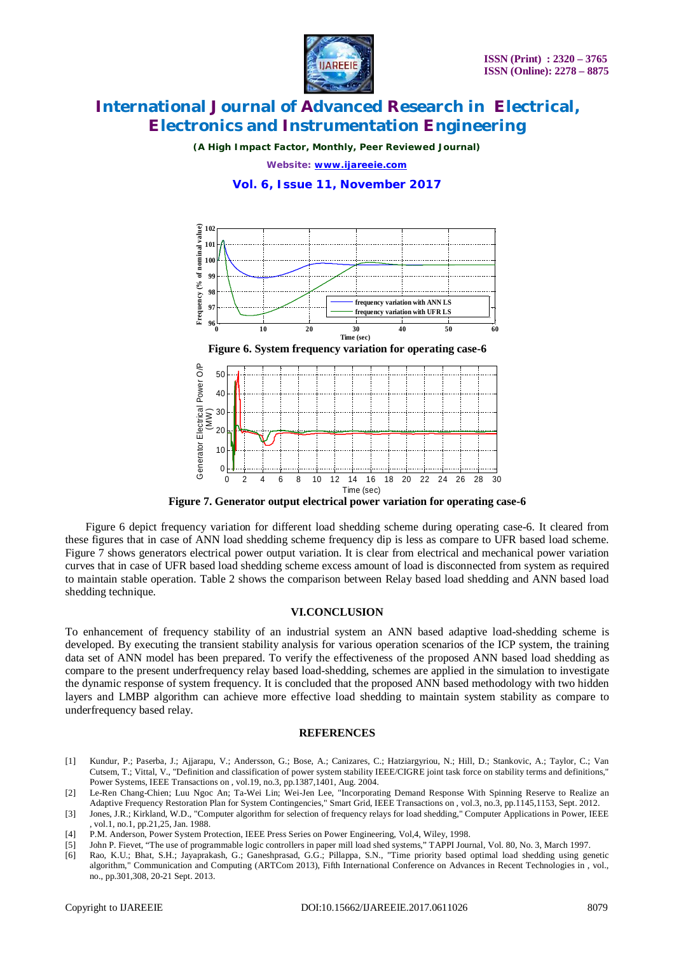

*(A High Impact Factor, Monthly, Peer Reviewed Journal)*

*Website: [www.ijareeie.com](http://www.ijareeie.com)*

**Vol. 6, Issue 11, November 2017**



**Figure 7. Generator output electrical power variation for operating case-6**

Figure 6 depict frequency variation for different load shedding scheme during operating case-6. It cleared from these figures that in case of ANN load shedding scheme frequency dip is less as compare to UFR based load scheme. Figure 7 shows generators electrical power output variation. It is clear from electrical and mechanical power variation curves that in case of UFR based load shedding scheme excess amount of load is disconnected from system as required to maintain stable operation. Table 2 shows the comparison between Relay based load shedding and ANN based load shedding technique.

#### **VI.CONCLUSION**

To enhancement of frequency stability of an industrial system an ANN based adaptive load-shedding scheme is developed. By executing the transient stability analysis for various operation scenarios of the ICP system, the training data set of ANN model has been prepared. To verify the effectiveness of the proposed ANN based load shedding as compare to the present underfrequency relay based load-shedding, schemes are applied in the simulation to investigate the dynamic response of system frequency. It is concluded that the proposed ANN based methodology with two hidden layers and LMBP algorithm can achieve more effective load shedding to maintain system stability as compare to underfrequency based relay.

#### **REFERENCES**

- [1] Kundur, P.; Paserba, J.; Ajjarapu, V.; Andersson, G.; Bose, A.; Canizares, C.; Hatziargyriou, N.; Hill, D.; Stankovic, A.; Taylor, C.; Van Cutsem, T.; Vittal, V., "Definition and classification of power system stability IEEE/CIGRE joint task force on stability terms and definitions," Power Systems, IEEE Transactions on , vol.19, no.3, pp.1387,1401, Aug. 2004.
- [2] Le-Ren Chang-Chien; Luu Ngoc An; Ta-Wei Lin; Wei-Jen Lee, "Incorporating Demand Response With Spinning Reserve to Realize an Adaptive Frequency Restoration Plan for System Contingencies," Smart Grid, IEEE Transactions on , vol.3, no.3, pp.1145,1153, Sept. 2012.
- [3] Jones, J.R.; Kirkland, W.D., "Computer algorithm for selection of frequency relays for load shedding," Computer Applications in Power, IEEE , vol.1, no.1, pp.21,25, Jan. 1988.
- [4] P.M. Anderson, Power System Protection, IEEE Press Series on Power Engineering, Vol,4, Wiley, 1998.
- [5] John P. Fievet, "The use of programmable logic controllers in paper mill load shed systems," TAPPI Journal, Vol. 80, No. 3, March 1997.
- [6] Rao, K.U.; Bhat, S.H.; Jayaprakash, G.; Ganeshprasad, G.G.; Pillappa, S.N., "Time priority based optimal load shedding using genetic algorithm," Communication and Computing (ARTCom 2013), Fifth International Conference on Advances in Recent Technologies in , vol., no., pp.301,308, 20-21 Sept. 2013.